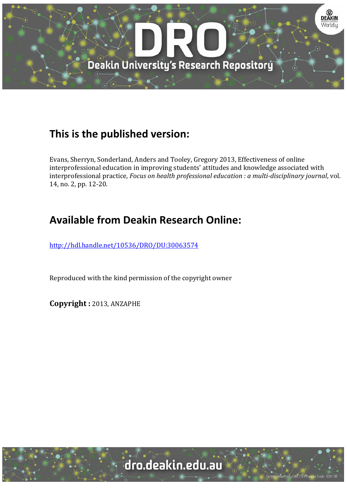

## **This is the published version:**

Evans, Sherryn, Sonderland, Anders and Tooley, Gregory 2013, Effectiveness of online interprofessional education in improving students' attitudes and knowledge associated with interprofessional practice*, Focus on health professional education : a multi‐disciplinary journal*, vol. 14, no. 2, pp. 12-20.

# **Available from Deakin Research Online:**

http://hdl.handle.net/10536/DRO/DU:30063574

Reproduced with the kind permission of the copyright owner

**Copyright :** 2013, ANZAPHE

University CRICOS Provider Code: 00113E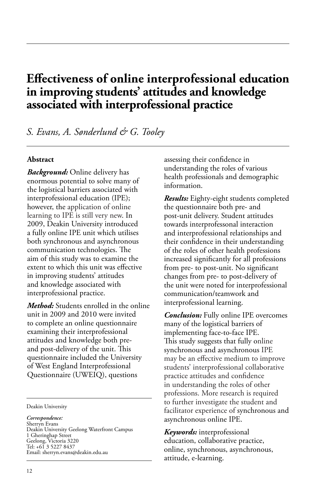## **Effectiveness of online interprofessional education in improving students' attitudes and knowledge associated with interprofessional practice**

*S. Evans, A. Sønderlund & G. Tooley*

## **Abstract**

*Background:* Online delivery has enormous potential to solve many of the logistical barriers associated with interprofessional education (IPE); however, the application of online learning to IPE is still very new. In 2009, Deakin University introduced a fully online IPE unit which utilises both synchronous and asynchronous communication technologies. The aim of this study was to examine the extent to which this unit was effective in improving students' attitudes and knowledge associated with interprofessional practice.

*Method:* Students enrolled in the online unit in 2009 and 2010 were invited to complete an online questionnaire examining their interprofessional attitudes and knowledge both preand post-delivery of the unit. This questionnaire included the University of West England Interprofessional Questionnaire (UWEIQ), questions

Deakin University

*Correspondence:* Sherryn Evans Deakin University Geelong Waterfront Campus 1 Gheringhap Street Geelong, Victoria 3220 Tel: +61 3 5227 8437 Email: sherryn.evans@deakin.edu.au

assessing their confidence in understanding the roles of various health professionals and demographic information.

*Results:* Eighty-eight students completed the questionnaire both pre- and post-unit delivery. Student attitudes towards interprofessonal interaction and interprofessional relationships and their confidence in their understanding of the roles of other health professions increased significantly for all professions from pre- to post-unit. No significant changes from pre- to post-delivery of the unit were noted for interprofessional communication/teamwork and interprofessional learning.

*Conclusion:* Fully online IPE overcomes many of the logistical barriers of implementing face-to-face IPE. This study suggests that fully online synchronous and asynchronous IPE may be an effective medium to improve students' interprofessional collaborative practice attitudes and confidence in understanding the roles of other professions. More research is required to further investigate the student and facilitator experience of synchronous and asynchronous online IPE.

*Keywords:* interprofessional education, collaborative practice, online, synchronous, asynchronous, attitude, e-learning.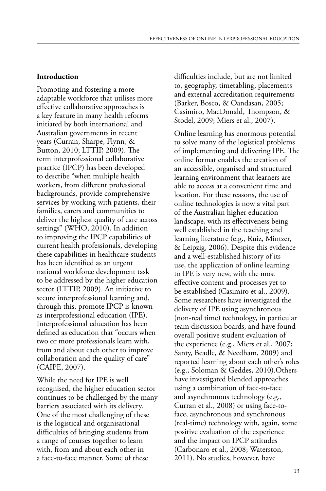#### **Introduction**

Promoting and fostering a more adaptable workforce that utilises more effective collaborative approaches is a key feature in many health reforms initiated by both international and Australian governments in recent years (Curran, Sharpe, Flynn, & Button, 2010; LTTIP, 2009). The term interprofessional collaborative practice (IPCP) has been developed to describe "when multiple health workers, from different professional backgrounds, provide comprehensive services by working with patients, their families, carers and communities to deliver the highest quality of care across settings" (WHO, 2010). In addition to improving the IPCP capabilities of current health professionals, developing these capabilities in healthcare students has been identified as an urgent national workforce development task to be addressed by the higher education sector (LTTIP, 2009). An initiative to secure interprofessional learning and, through this, promote IPCP is known as interprofessional education (IPE). Interprofessional education has been defined as education that "occurs when two or more professionals learn with, from and about each other to improve collaboration and the quality of care" (CAIPE, 2007).

While the need for IPE is well recognised, the higher education sector continues to be challenged by the many barriers associated with its delivery. One of the most challenging of these is the logistical and organisational difficulties of bringing students from a range of courses together to learn with, from and about each other in a face-to-face manner. Some of these

difficulties include, but are not limited to, geography, timetabling, placements and external accreditation requirements (Barker, Bosco, & Oandasan, 2005; Casimiro, MacDonald, Thompson, & Stodel, 2009; Miers et al., 2007).

Online learning has enormous potential to solve many of the logistical problems of implementing and delivering IPE. The online format enables the creation of an accessible, organised and structured learning environment that learners are able to access at a convenient time and location. For these reasons, the use of online technologies is now a vital part of the Australian higher education landscape, with its effectiveness being well established in the teaching and learning literature (e.g., Ruiz, Mintzer, & Leipzig, 2006). Despite this evidence and a well-established history of its use, the application of online learning to IPE is very new, with the most effective content and processes yet to be established (Casimiro et al., 2009). Some researchers have investigated the delivery of IPE using asynchronous (non-real time) technology, in particular team discussion boards, and have found overall positive student evaluation of the experience (e.g., Miers et al., 2007; Santy, Beadle, & Needham, 2009) and reported learning about each other's roles (e.g., Soloman & Geddes, 2010).Others have investigated blended approaches using a combination of face-to-face and asynchronous technology (e.g., Curran et al., 2008) or using face-toface, asynchronous and synchronous (real-time) technology with, again, some positive evaluation of the experience and the impact on IPCP attitudes (Carbonaro et al., 2008; Waterston, 2011). No studies, however, have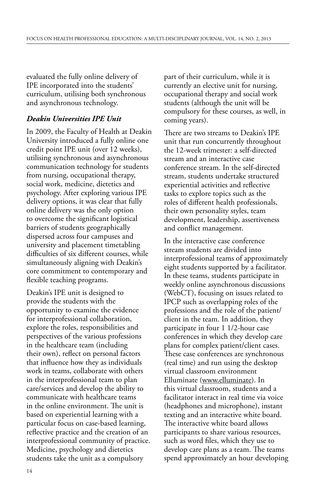evaluated the fully online delivery of IPE incorporated into the students' curriculum, utilising both synchronous and asynchronous technology.

### *Deakin Universities IPE Unit*

In 2009, the Faculty of Health at Deakin University introduced a fully online one credit point IPE unit (over 12 weeks), utilising synchronous and asynchronous communication technology for students from nursing, occupational therapy, social work, medicine, dietetics and psychology. After exploring various IPE delivery options, it was clear that fully online delivery was the only option to overcome the significant logistical barriers of students geographically dispersed across four campuses and university and placement timetabling difficulties of six different courses, while simultaneously aligning with Deakin's core commitment to contemporary and flexible teaching programs.

Deakin's IPE unit is designed to provide the students with the opportunity to examine the evidence for interprofessional collaboration, explore the roles, responsibilities and perspectives of the various professions in the healthcare team (including their own), reflect on personal factors that influence how they as individuals work in teams, collaborate with others in the interprofessional team to plan care/services and develop the ability to communicate with healthcare teams in the online environment. The unit is based on experiential learning with a particular focus on case-based learning, reflective practice and the creation of an interprofessional community of practice. Medicine, psychology and dietetics students take the unit as a compulsory

part of their curriculum, while it is currently an elective unit for nursing, occupational therapy and social work students (although the unit will be compulsory for these courses, as well, in coming years).

There are two streams to Deakin's IPE unit that run concurrently throughout the 12-week trimester: a self-directed stream and an interactive case conference stream. In the self-directed stream, students undertake structured experiential activities and reflective tasks to explore topics such as the roles of different health professionals, their own personality styles, team development, leadership, assertiveness and conflict management.

In the interactive case conference stream students are divided into interprofessional teams of approximately eight students supported by a facilitator. In these teams, students participate in weekly online asynchronous discussions (WebCT), focusing on issues related to IPCP such as overlapping roles of the professions and the role of the patient/ client in the team. In addition, they participate in four 1 1/2-hour case conferences in which they develop care plans for complex patient/client cases. These case conferences are synchronous (real time) and run using the desktop virtual classroom environment Elluminate (www.elluminate). In this virtual classroom, students and a facilitator interact in real time via voice (headphones and microphone), instant texting and an interactive white board. The interactive white board allows participants to share various resources, such as word files, which they use to develop care plans as a team. The teams spend approximately an hour developing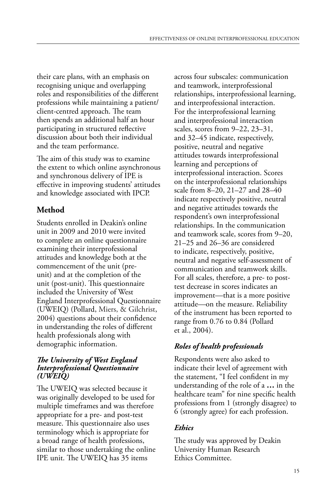their care plans, with an emphasis on recognising unique and overlapping roles and responsibilities of the different professions while maintaining a patient/ client-centred approach. The team then spends an additional half an hour participating in structured reflective discussion about both their individual and the team performance.

The aim of this study was to examine the extent to which online asynchronous and synchronous delivery of IPE is effective in improving students' attitudes and knowledge associated with IPCP.

## **Method**

Students enrolled in Deakin's online unit in 2009 and 2010 were invited to complete an online questionnaire examining their interprofessional attitudes and knowledge both at the commencement of the unit (preunit) and at the completion of the unit (post-unit). This questionnaire included the University of West England Interprofessional Questionnaire (UWEIQ) (Pollard, Miers, & Gilchrist, 2004) questions about their confidence in understanding the roles of different health professionals along with demographic information.

#### *The University of West England Interprofessional Questionnaire (UWEIQ)*

The UWEIQ was selected because it was originally developed to be used for multiple timeframes and was therefore appropriate for a pre- and post-test measure. This questionnaire also uses terminology which is appropriate for a broad range of health professions, similar to those undertaking the online IPE unit. The UWEIQ has 35 items

across four subscales: communication and teamwork, interprofessional relationships, interprofessional learning, and interprofessional interaction. For the interprofessional learning and interprofessional interaction scales, scores from 9–22, 23–31, and 32–45 indicate, respectively, positive, neutral and negative attitudes towards interprofessional learning and perceptions of interprofessional interaction. Scores on the interprofessional relationships scale from 8–20, 21–27 and 28–40 indicate respectively positive, neutral and negative attitudes towards the respondent's own interprofessional relationships. In the communication and teamwork scale, scores from 9–20, 21–25 and 26–36 are considered to indicate, respectively, positive, neutral and negative self-assessment of communication and teamwork skills. For all scales, therefore, a pre- to posttest decrease in scores indicates an improvement—that is a more positive attitude—on the measure. Reliability of the instrument has been reported to range from 0.76 to 0.84 (Pollard et al., 2004).

## *Roles of health professionals*

Respondents were also asked to indicate their level of agreement with the statement, "I feel confident in my understanding of the role of a **…** in the healthcare team" for nine specific health professions from 1 (strongly disagree) to 6 (strongly agree) for each profession.

## *Ethics*

The study was approved by Deakin University Human Research Ethics Committee.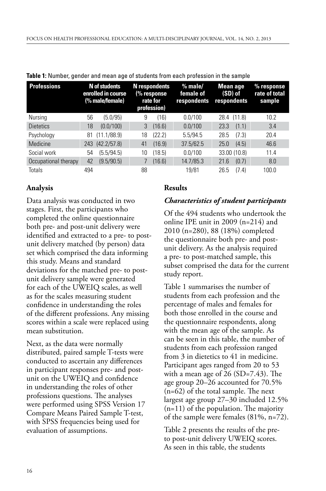| <b>Professions</b>   |     | N of students<br>enrolled in course<br>(% male/female) | N respondents<br>(% response<br>rate for<br>profession) |        | $%$ male/<br>female of<br>respondents | Mean age<br>(SD) of<br>respondents |              | $%$ response<br>rate of total<br>sample |
|----------------------|-----|--------------------------------------------------------|---------------------------------------------------------|--------|---------------------------------------|------------------------------------|--------------|-----------------------------------------|
| Nursing              | 56  | (5.0/95)                                               | 9                                                       | (16)   | 0.0/100                               |                                    | 28.4 (11.8)  | 10.2                                    |
| <b>Dietetics</b>     | 18  | (0.0/100)                                              | 3                                                       | (16.6) | 0.0/100                               | 23.3                               | (1.1)        | 3.4                                     |
| Psychology           | 81  | (11.1/88.9)                                            | 18                                                      | (22.2) | 5.5/94.5                              | 28.5                               | (7.3)        | 20.4                                    |
| Medicine             | 243 | (42.2/57.8)                                            | 41                                                      | (16.9) | 37.5/62.5                             | 25.0                               | (4.5)        | 46.6                                    |
| Social work          | 54  | (5.5/94.5)                                             | 10                                                      | (18.5) | 0.0/100                               |                                    | 33.00 (10.8) | 11.4                                    |
| Occupational therapy | 42  | (9.5/90.5)                                             |                                                         | (16.6) | 14.7/85.3                             | 21.6                               | (0.7)        | 8.0                                     |
| Totals               | 494 |                                                        | 88                                                      |        | 19/81                                 | 26.5                               | (7.4)        | 100.0                                   |

**Table 1:** Number, gender and mean age of students from each profession in the sample

### **Analysis**

Data analysis was conducted in two stages. First, the participants who completed the online questionnaire both pre- and post-unit delivery were identified and extracted to a pre- to postunit delivery matched (by person) data set which comprised the data informing this study. Means and standard deviations for the matched pre- to postunit delivery sample were generated for each of the UWEIQ scales, as well as for the scales measuring student confidence in understanding the roles of the different professions. Any missing scores within a scale were replaced using mean substitution.

Next, as the data were normally distributed, paired sample T-tests were conducted to ascertain any differences in participant responses pre- and postunit on the UWEIQ and confidence in understanding the roles of other professions questions. The analyses were performed using SPSS Version 17 Compare Means Paired Sample T-test, with SPSS frequencies being used for evaluation of assumptions.

### **Results**

## *Characteristics of student participants*

Of the 494 students who undertook the online IPE unit in 2009 (n=214) and 2010 (n=280), 88 (18%) completed the questionnaire both pre- and postunit delivery. As the analysis required a pre- to post-matched sample, this subset comprised the data for the current study report.

Table 1 summarises the number of students from each profession and the percentage of males and females for both those enrolled in the course and the questionnaire respondents, along with the mean age of the sample. As can be seen in this table, the number of students from each profession ranged from 3 in dietetics to 41 in medicine. Participant ages ranged from 20 to 53 with a mean age of 26 (SD=7.43). The age group 20–26 accounted for 70.5% (n=62) of the total sample. The next largest age group 27–30 included 12.5% (n=11) of the population. The majority of the sample were females (81%, n=72).

Table 2 presents the results of the preto post-unit delivery UWEIQ scores. As seen in this table, the students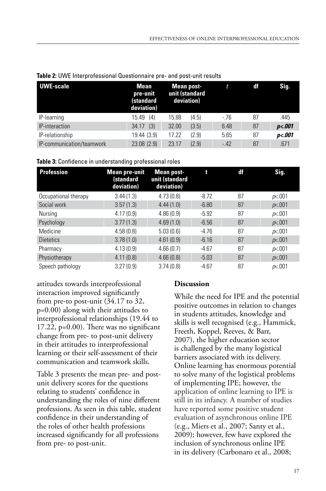| UWE-scale                 | Mean<br>pre-unit<br>(standard<br>deviation) | Mean post-<br>unit (standard<br>deviation) | t     | df | Sig.   |
|---------------------------|---------------------------------------------|--------------------------------------------|-------|----|--------|
| IP-learning               | 15.49(4)                                    | (4.5)<br>15.88                             | $-76$ | 87 | .445   |
| IP-interaction            | (3)<br>34.17                                | (3.5)<br>32.00                             | 6.48  | 87 | p<.001 |
| IP-relationship           | 19.44 (3.9)                                 | (2.9)<br>17.22                             | 5.65  | 87 | p<.001 |
| IP-communication/teamwork | 23.08(2.9)                                  | (2.9)<br>23.17                             | $-42$ | 87 | .671   |

|  |  |  |  |  |  | Table 2: UWE Interprofessional Questionnaire pre- and post-unit results |
|--|--|--|--|--|--|-------------------------------------------------------------------------|
|--|--|--|--|--|--|-------------------------------------------------------------------------|

**Table 3:** Confidence in understanding professional roles

| <b>Profession</b>    | <b>Mean pre-unit</b><br>(standard<br>deviation) | <b>Mean post-</b><br>unit (standard<br>deviation) | t       | df | Sig.   |
|----------------------|-------------------------------------------------|---------------------------------------------------|---------|----|--------|
| Occupational therapy | 3.44(1.3)                                       | 4.73(0.8)                                         | $-8.72$ | 87 | p<.001 |
| Social work          | 3.57(1.3)                                       | 4.44(1.0)                                         | $-6.80$ | 87 | p<.001 |
| Nursing              | 4.17(0.9)                                       | 4.86(0.9)                                         | $-5.92$ | 87 | p<.001 |
| Psychology           | 3.77(1.3)                                       | 4.69(1.0)                                         | $-6.56$ | 87 | p<.001 |
| Medicine             | 4.58(0.8)                                       | 5.03(0.6)                                         | $-4.76$ | 87 | p<.001 |
| <b>Dietetics</b>     | 3.78(1.0)                                       | 4.61(0.9)                                         | $-6.16$ | 87 | p<.001 |
| Pharmacy             | 4.13(0.9)                                       | 4.66(0.7)                                         | $-4.67$ | 87 | p<.001 |
| Physiotherapy        | 4.11(0.8)                                       | 4.66(0.8)                                         | $-5.03$ | 87 | p<.001 |
| Speech pathology     | 3.27(0.9)                                       | 3.74(0.8)                                         | $-4.67$ | 87 | p<.001 |

attitudes towards interprofessional interaction improved significantly from pre-to post-unit (34.17 to 32, p=0.00) along with their attitudes to interprofessional relationships (19.44 to 17.22, p=0.00). There was no significant change from pre- to post-unit delivery in their attitudes to interprofessional learning or their self-assessment of their communication and teamwork skills.

Table 3 presents the mean pre- and postunit delivery scores for the questions relating to students' confidence in understanding the roles of nine different professions. As seen in this table, student confidence in their understanding of the roles of other health professions increased significantly for all professions from pre- to post-unit.

## **Discussion**

While the need for IPE and the potential positive outcomes in relation to changes in students attitudes, knowledge and skills is well recognised (e.g., Hammick, Freeth, Koppel, Reeves, & Barr, 2007), the higher education sector is challenged by the many logistical barriers associated with its delivery. Online learning has enormous potential to solve many of the logistical problems of implementing IPE; however, the application of online learning to IPE is still in its infancy. A number of studies have reported some positive student evaluation of asynchronous online IPE (e.g., Miers et al., 2007; Santy et al., 2009); however, few have explored the inclusion of synchronous online IPE in its delivery (Carbonaro et al., 2008;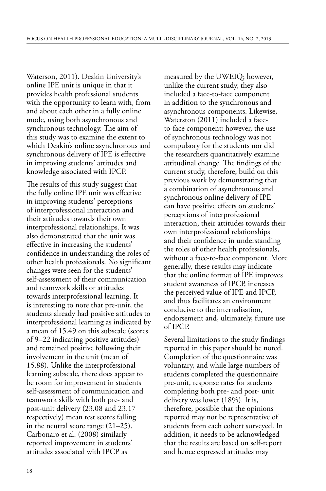Waterson, 2011). Deakin University's online IPE unit is unique in that it provides health professional students with the opportunity to learn with, from and about each other in a fully online mode, using both asynchronous and synchronous technology. The aim of this study was to examine the extent to which Deakin's online asynchronous and synchronous delivery of IPE is effective in improving students' attitudes and knowledge associated with IPCP.

The results of this study suggest that the fully online IPE unit was effective in improving students' perceptions of interprofessional interaction and their attitudes towards their own interprofessional relationships. It was also demonstrated that the unit was effective in increasing the students' confidence in understanding the roles of other health professionals. No significant changes were seen for the students' self-assessment of their communication and teamwork skills or attitudes towards interprofessional learning. It is interesting to note that pre-unit, the students already had positive attitudes to interprofessional learning as indicated by a mean of 15.49 on this subscale (scores of 9–22 indicating positive attitudes) and remained positive following their involvement in the unit (mean of 15.88). Unlike the interprofessional learning subscale, there does appear to be room for improvement in students self-assessment of communication and teamwork skills with both pre- and post-unit delivery (23.08 and 23.17 respectively) mean test scores falling in the neutral score range (21–25). Carbonaro et al. (2008) similarly reported improvement in students' attitudes associated with IPCP as

measured by the UWEIQ; however, unlike the current study, they also included a face-to-face component in addition to the synchronous and asynchronous components. Likewise, Waterston (2011) included a faceto-face component; however, the use of synchronous technology was not compulsory for the students nor did the researchers quantitatively examine attitudinal change. The findings of the current study, therefore, build on this previous work by demonstrating that a combination of asynchronous and synchronous online delivery of IPE can have positive effects on students' perceptions of interprofessional interaction, their attitudes towards their own interprofessional relationships and their confidence in understanding the roles of other health professionals, without a face-to-face component. More generally, these results may indicate that the online format of IPE improves student awareness of IPCP, increases the perceived value of IPE and IPCP, and thus facilitates an environment conducive to the internalisation, endorsement and, ultimately, future use of IPCP.

Several limitations to the study findings reported in this paper should be noted. Completion of the questionnaire was voluntary, and while large numbers of students completed the questionnaire pre-unit, response rates for students completing both pre- and post- unit delivery was lower (18%). It is, therefore, possible that the opinions reported may not be representative of students from each cohort surveyed. In addition, it needs to be acknowledged that the results are based on self-report and hence expressed attitudes may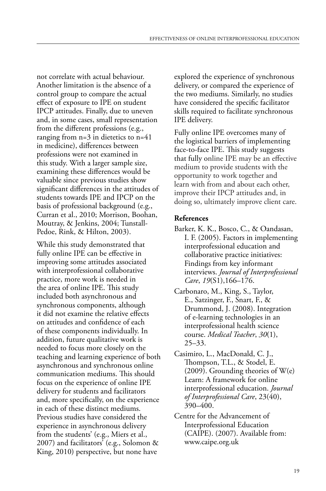not correlate with actual behaviour. Another limitation is the absence of a control group to compare the actual effect of exposure to IPE on student IPCP attitudes. Finally, due to uneven and, in some cases, small representation from the different professions (e.g., ranging from n=3 in dietetics to n=41 in medicine), differences between professions were not examined in this study. With a larger sample size, examining these differences would be valuable since previous studies show significant differences in the attitudes of students towards IPE and IPCP on the basis of professional background (e.g., Curran et al., 2010; Morrison, Boohan, Moutray, & Jenkins, 2004; Tunstall-Pedoe, Rink, & Hilton, 2003).

While this study demonstrated that fully online IPE can be effective in improving some attitudes associated with interprofessional collaborative practice, more work is needed in the area of online IPE. This study included both asynchronous and synchronous components, although it did not examine the relative effects on attitudes and confidence of each of these components individually. In addition, future qualitative work is needed to focus more closely on the teaching and learning experience of both asynchronous and synchronous online communication mediums. This should focus on the experience of online IPE delivery for students and facilitators and, more specifically, on the experience in each of these distinct mediums. Previous studies have considered the experience in asynchronous delivery from the students' (e.g., Miers et al., 2007) and facilitators' (e.g., Solomon & King, 2010) perspective, but none have

explored the experience of synchronous delivery, or compared the experience of the two mediums. Similarly, no studies have considered the specific facilitator skills required to facilitate synchronous IPE delivery.

Fully online IPE overcomes many of the logistical barriers of implementing face-to-face IPE. This study suggests that fully online IPE may be an effective medium to provide students with the opportunity to work together and learn with from and about each other, improve their IPCP attitudes and, in doing so, ultimately improve client care.

## **References**

- Barker, K. K., Bosco, C., & Oandasan, I. F. (2005). Factors in implementing interprofessional education and collaborative practice initiatives: Findings from key informant interviews. *Journal of Interprofessional Care*, *19*(S1),166–176.
- Carbonaro, M., King, S., Taylor, E., Satzinger, F., Snart, F., & Drummond, J. (2008). Integration of e-learning technologies in an interprofessional health science course. *Medical Teacher*, *30*(1), 25–33.
- Casimiro, L., MacDonald, C. J., Thompson, T.L., & Stodel, E. (2009). Grounding theories of W(e) Learn: A framework for online interprofessional education. *Journal of Interprofessional Care*, 23(40), 390–400.
- Centre for the Advancement of Interprofessional Education (CAIPE). (2007). Available from: www.caipe.org.uk